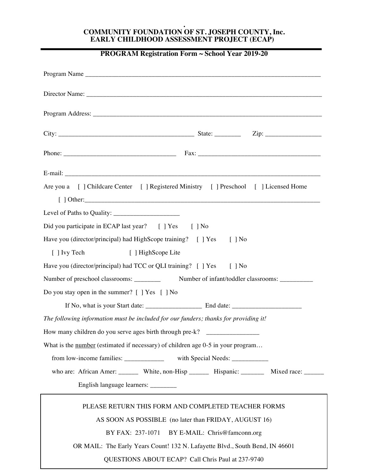## **. COMMUNITY FOUNDATION OF ST. JOSEPH COUNTY, Inc. EARLY CHILDHOOD ASSESSMENT PROJECT (ECAP)**

## **PROGRAM Registration Form ~ School Year 2019-20**

| Are you a [ ] Childcare Center [ ] Registered Ministry [ ] Preschool [ ] Licensed Home             |
|----------------------------------------------------------------------------------------------------|
|                                                                                                    |
| Did you participate in ECAP last year? [] Yes [] No                                                |
| Have you (director/principal) had HighScope training? [ ] Yes [ ] No                               |
| [ ] Ivy Tech<br>[ ] HighScope Lite                                                                 |
| Have you (director/principal) had TCC or QLI training? [ ] Yes [ ] No                              |
| Number of preschool classrooms: __________ Number of infant/toddler classrooms: ___________        |
| Do you stay open in the summer? [ ] Yes [ ] No                                                     |
|                                                                                                    |
| The following information must be included for our funders; thanks for providing it!               |
| How many children do you serve ages birth through pre-k? _______________________                   |
| What is the <u>number</u> (estimated if necessary) of children age $0-5$ in your program           |
| from low-income families: ______________ with Special Needs: ____________                          |
| who are: African Amer: _________ White, non-Hisp _________ Hispanic: _________ Mixed race: _______ |
| English language learners: ________                                                                |
| PLEASE RETURN THIS FORM AND COMPLETED TEACHER FORMS                                                |
| AS SOON AS POSSIBLE (no later than FRIDAY, AUGUST 16)                                              |
| BY FAX: 237-1071 BY E-MAIL: Chris@famconn.org                                                      |
| OR MAIL: The Early Years Count! 132 N. Lafayette Blvd., South Bend, IN 46601                       |
| QUESTIONS ABOUT ECAP? Call Chris Paul at 237-9740                                                  |